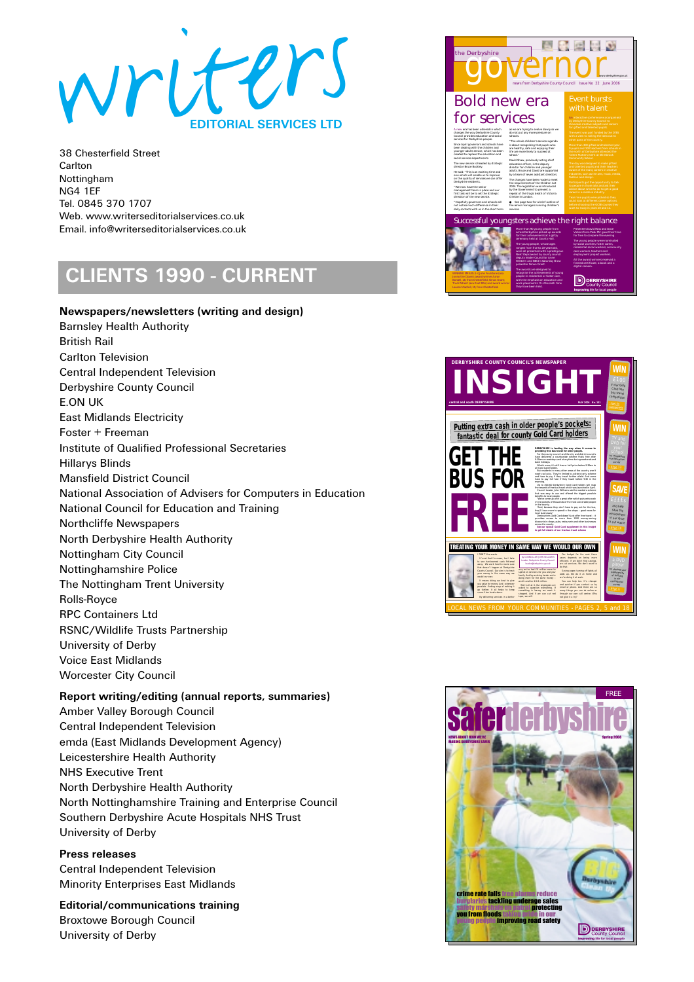

# **CLIENTS 1990 - CURRENT**

### **Newspapers/newsletters (writing and design)** Barnsley Health Authority British Rail Carlton Television Central Independent Television Derbyshire County Council E.ON UK East Midlands Electricity Foster + Freeman Institute of Qualified Professional Secretaries Hillarys Blinds Mansfield District Council National Association of Advisers for Computers in Education National Council for Education and Training Northcliffe Newspapers North Derbyshire Health Authority Nottingham City Council Nottinghamshire Police The Nottingham Trent University Rolls-Royce RPC Containers Ltd RSNC/Wildlife Trusts Partnership University of Derby Voice East Midlands Worcester City Council

### **Report writing/editing (annual reports, summaries)** Amber Valley Borough Council Central Independent Television emda (East Midlands Development Agency) Leicestershire Health Authority NHS Executive Trent North Derbyshire Health Authority North Nottinghamshire Training and Enterprise Council Southern Derbyshire Acute Hospitals NHS Trust University of Derby

**Press releases** Central Independent Television Minority Enterprises East Midlands

**Editorial/communications training**  Broxtowe Borough Council University of Derby





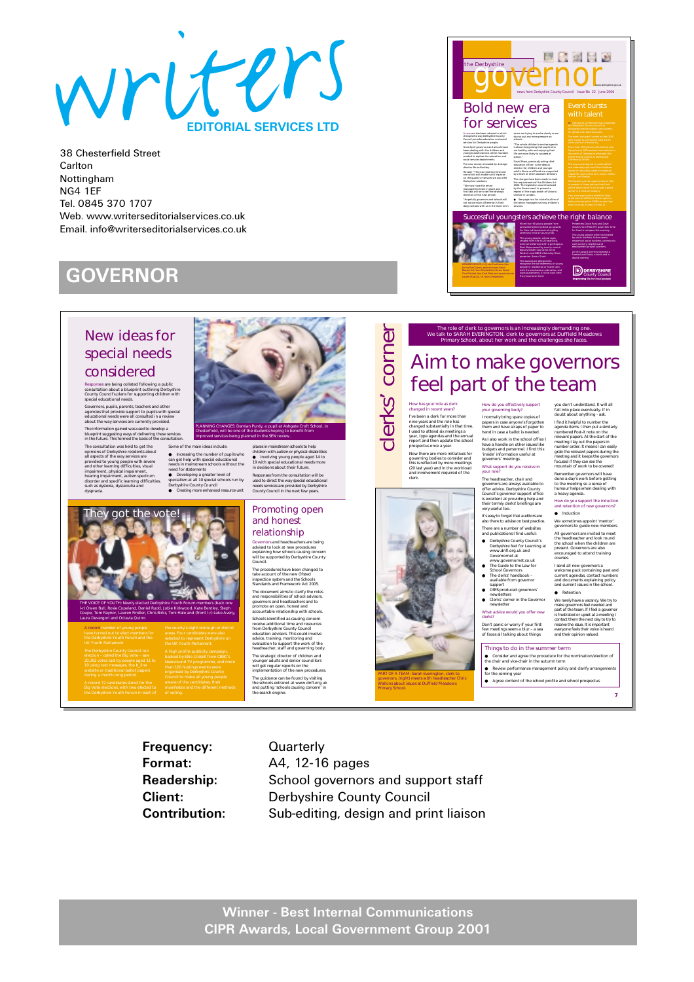

## **GOVERNOR**

### New ideas for special needs considered

Responses are being collated following a public consultation about a blueprint outlining Derbyshire County Council's plans for supporting children with special educational needs.

Governors, pupils, parents, teachers and other<br>agencies that provide support to pupils with special<br>educational needs were all consulted in a review<br>about the way services are currently provided.<br>The information gained was blueprint suggesting ways of delivering these services

In the future. This formed the basis of the consultation.<br>The consultation vas held to get the Some of Derbyshire residents about<br>all aspects of the way services are  $\bullet$  Incremental<br>all aspects of the way services are  $\$ impairment, physical impairment, hearing impairment, autism spectrum disorder and specific learning difficulties, such as dyslexia, dyscalculia and dyspraxia.

They got the vote!

A record number of young people

Laura Devergori and Octavia Quinn.

THE VOICE OF YOUTH: Newly elected Derbyshire Youth Forum members (back row l-r) Owen Bull, Rosie Copeland, Daniel Rudd, Jobie Kirkwood, Kate Bentley, Steph Coupe, Tom Raynor, Lauren Findler, Chris Birks, Toni Hale and (front l-r) Luke Avery,

Some of the main ideas include:<br>● Increasing the number of pupils who<br>can get help with special educational<br>needs in mainstream schools without the<br>need for statements<br>● Developing a greater level of<br>● Developing a greate Derbyshire County Council ● Creating more enhanced resource unit places in mainstream schools to help children with autism or physical disabilities ● Involving young people aged 14 to 19 with special educational needs more in decisions about their future. Responses from the consultation will be used to direct the way special educational needs services are provided by Derbyshire County Council in the next few years.

PLANNING CHANGES: Damian Purdy, a pupil at Ashgate Croft School, in Chesterfield, will be one of the students hoping to benefit from improved services being planned in the SEN review.

#### Promoting open and honest relationship

Governors and headteachers are being advised to look at new procedures explaining how schools causing concern will be supported by Derbyshire County

Council. The procedures have been changed to take account of the new Ofsted inspection system and the Schools Standards and Framework Act 2005. The document aims to clarify the roles and responsibilities of school advisors, governors and headteachers and to promote an open, honest and accountable relationship with schools. Schools identified as causing concern receive additional time and resources from Derbyshire County Council education advisors. This could involve advice, training, monitoring and evaluation to support the work of the headteacher, staff and governing body. The strategic director of children and younger adults and senior councillors will get regular reports on the implementation of the new procedures. The guidance can be found by visiting the schools extranet at www.dnfl.org.uk and putting 'schools causing concern' in

the search engine.



PART OF A TEAM: Sarah Everington, clerk to governors, (right) meets with headteacher Chris Watkins about issues at Duffield Meadows

Primary School.

the Derbyshire governor news from Derbyshire County Council Issue No 22 June 2006 Bold new era for services An interactive conference was organised A new era has been ushered in which as we are trying to evolve slowly so we changes the way Derbyshire County do not put any more pressure on Council provides education and social services for Derbyshire people. "The whole children's services agenda Since April governors and schools have is about recognising that pupils who been dealing with the children and are healthy, safe and enjoying their younger adults service, which has been life are more likely to succeed at created to replace the education and school." social services departments. David Shaw, previously acting chief The new service is headed by strategic education officer, is the deputy director Bruce Buckley. director for children and younger He said: "This is an exciting time and adults. Bruce and David are supported one which will enable us to improve by a team of seven assistant directors. The changes have been made to meet Derbyshire residents. the requirements of the Children Act "We now have the senior 2004. The legislation was introduced management team in place and our first task will be to set the strategic repeat of the tragic death of Victoria direction of the new service. Climbie in London. "Hopefully governors and schools will ● See page two for a brief outline of the senior managers running children's not notice much difference in their daily contacts with us in the short term services. ful youngsters achieve the right balance More than 90 young people from Presenters David Ross and Dave across Derbyshire picked up awards Vickers from Peak FM gave their time for their achievements at a glitzy for free to compere the evening. ceremony held at County Hall. The young people were nominated The young people, whose ages by social workers, foster carers, ranged from five to 20-years-old, residential social workers, community were all presented with a prestigious care workers, teachers and Next Steps award by county council employment project workers. deputy leader Councillor Anne All the award winners received a Western and BBC1's Saturday Show framed certificate, a book and a presenter Simon Grant. digital camera. The awards are designed to WINNING SMILES: (l-r) John Foulstone (aka recognise the achievements of young **D** DERBYSHIRE

people in residential or foster care, with the emphasis on education and work placements. It is the sixth time they have been held.

you don't understand. It will all fall into place eventually. If in doubt about anything - ask. I find it helpful to number the<br>agenda items. I then put a simi agenda items. I then put a similarly<br>numbered Post-it note on the<br>relevant papers. At the start of the<br>meeting I lay out the papers in<br>number order. It means I can easily<br>grab the relevant papers during the<br>meeting and It focused if they can see the<br>mountain of work to be covered! Remember governors will have done a day's work before getting to the meeting so a sense of humour helps when dealing with a heavy agenda. How do you support the induction and retention of new governors? ● Induction We sometimes appoint 'mentor' governors to guide new members. All governors are invited to meet the headteacher and look round the school when the children are present. Governors are also encouraged to attend training courses. I send all new governors a welcome pack containing past and current agendas, contact numbers and documents explaining policy and current issues in the school. ● Retention rely have make governors feel needed and part of<br>1. If I is frustrated or upset at a meeting I contact them the next day to try to resolve the issue. It is important everyone feels their voice is heard and their opinion valued.

#### The role of clerk to governors is an increasingly demanding one. We talk to SARAH EVERINGTON, clerk to governors at Duffield Meadows Primary School, about her work and the challenges she faces.

Bonsell, 18, from Chesterfield; Simon Grant; Lauren MacColl, 19, from Chesterfield.

## Aim to make governors feel part of the team

How do you effectively support your governing body? I normally bring spare copies of papers in case anyone's forgotten them and have scraps of paper to hand in case a ballot is needed. As I also work in the school office I have a handle on other issues like

budgets and personnel. I find this 'inside' information useful at governors' me

> What support do you receive in your role? The headteacher, chair and

#### governors are always available to offer advice. Derbyshire County Council's governor support office is excellent at providing help and their termly clerks' briefings are s excenent at p<br>their termly cle<br>very useful too.

It's easy to forget that auditors are also there to advise on best practice. There are a number of websites and publications I find useful:

- Derbyshire County Council's Derbyshire Net for Learning at
- www.dnfl.org.uk and Governornet at
- www.governornet.co.uk The Guide to the Law for School Governors
- The clerks' handbook available from governor

support<br>● DfES produced governors'

● Clerks' corner in the Governor newsletter

What advice would you offer new clerks?

### Don't panic or worry if your first few meetings seem a blur – a sea of faces all talking about things

### Things to do in the summer term

● Consider and agree the procedure for the nomination/election of<br>the chair and vice-chair in the autumn term<br>● Review performance management policy and clarify arrangements<br>for the coming year

- 
- $\bullet$  Agree content of the school profile and school profile and school problem and school profile and school problem and school profile and school profile and school profile and school profile and school profile and schoo

**7**

**Frequency:** Quarterly

**Format:** A4, 12-16 pages **Readership:** School governors and support staff **Client:** Derbyshire County Council **Contribution:** Sub-editing, design and print liaison

> **Winner - Best Internal Communications CIPR Awards, Local Government Group 2001**

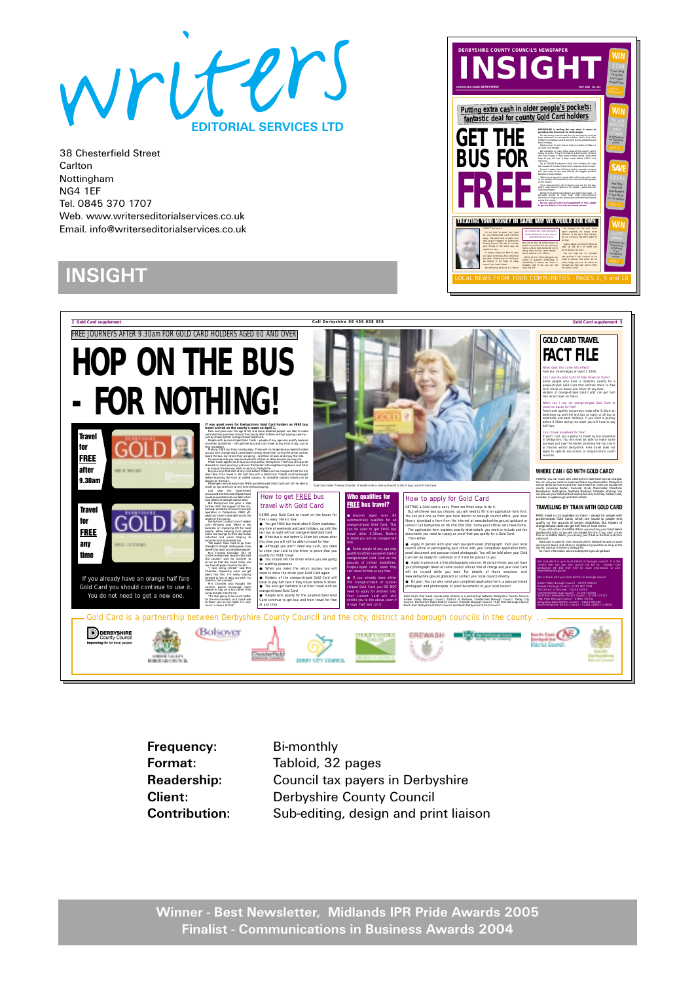

# **INSIGHT**





**Frequency:** Bi-monthly **Format:** Tabloid, 32 pages

**Readership:** Council tax payers in Derbyshire **Client:** Derbyshire County Council **Contribution:** Sub-editing, design and print liaison

**Winner - Best Newsletter, Midlands IPR Pride Awards 2005 Finalist - Communications in Business Awards 2004**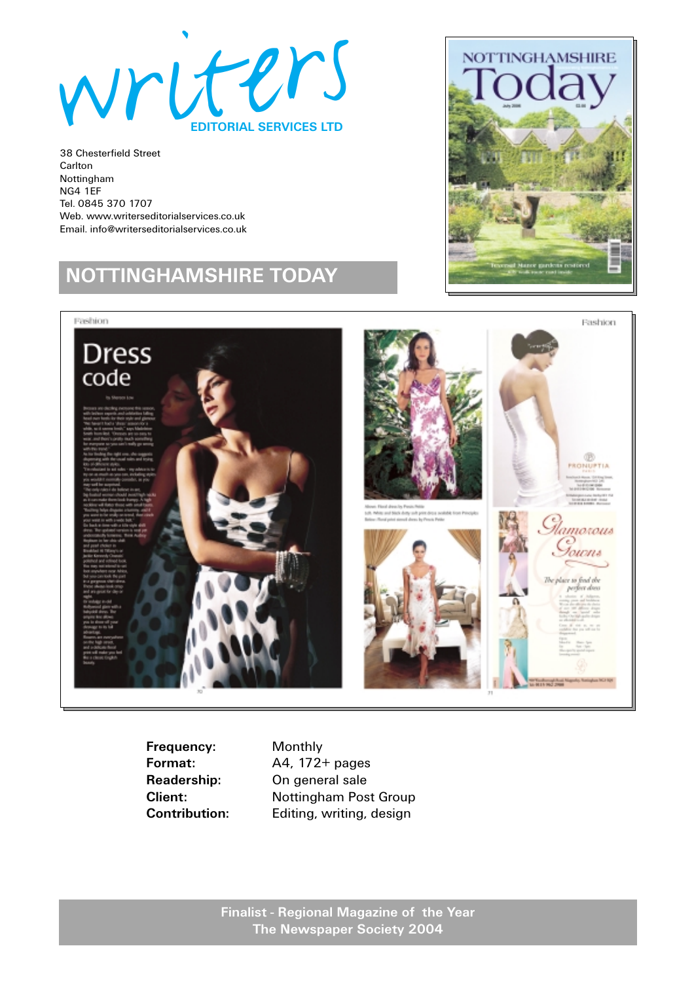

# **NOTTINGHAMSHIRE TODAY**





**Frequency:** Monthly

**Format:** A4, 172+ pages **Readership:** On general sale **Client:** Nottingham Post Group **Contribution:** Editing, writing, design

> **Finalist - Regional Magazine of the Year The Newspaper Society 2004**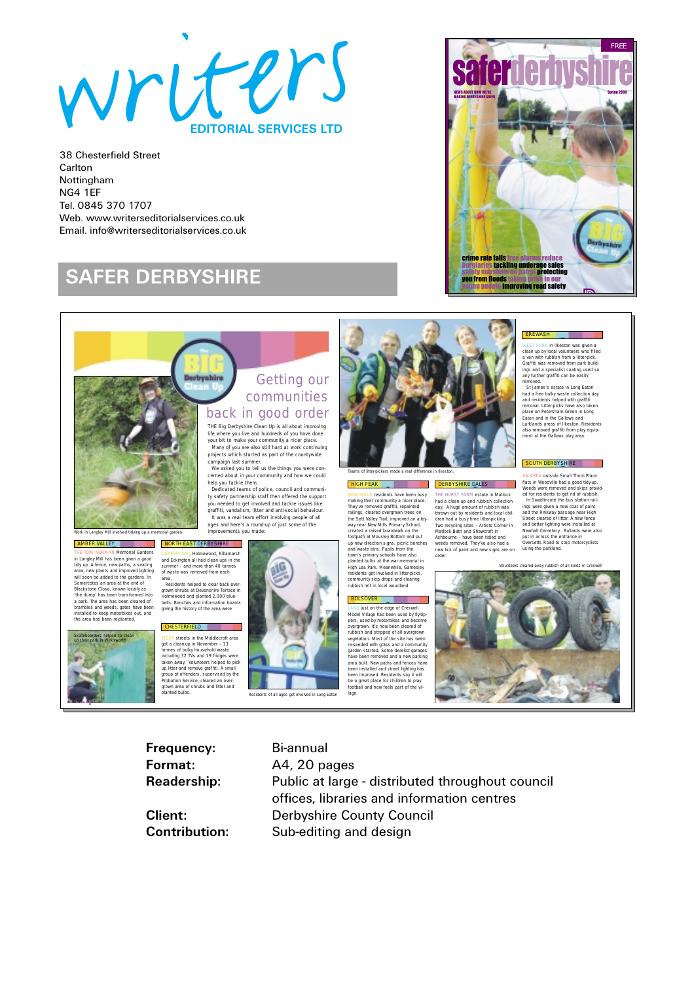

## **SAFER DERBYSHIRE**



### EREWASH

WEST PARK in Ilkeston was given a clean up by local volunteers who filled a van with rubbish from a litter-pick. Graffiti was removed from park build-ings and a specialist coating used so any further graffiti can be easily removed.

St James's estate in Long Eaton<br>had a free bulky waste collection day<br>and residents helped with graffiti<br>removal. Litter-picks have also taken<br>place on Petersham Green in Long<br>Eaton and in the Gallows and<br>Larklands areas o also removed graffiti from play equip-ment at the Gallows play area.

SOUTH DERBYSHIRE

and better lighting were installed at Newhall Cemetery. Bollards were also put in across the entrance in Oversetts Road to stop motorcyclists using the parkland. *Volunteers cleared away rubbish of all kinds in Creswell*



**Derbyshire** 



**derbyshire safer 8**

EIGHT streets in the Middlecroft area<br>got a clean-up in November – 13<br>tonnes of bulky household waste<br>including 32 TVs and 19 fridges were taken away. Volunteers helped to pick up litter and remove graffiti. A small group of offenders, supervised by the Probation Service, cleared an over-grown area of shrubs and litter and own area or<br>anted bulbs.

*Residents of all ages got involved in Long Eaton*

Getting our communities

back in good order



*Teams of litter-pickers made a real difference in Ilkeston.* HIGH PEAK **DERBYSHIRE DALES** a kacamatan

NEW MILLES residents have been busy<br>making their community a nicer place.<br>They've removed graffitit, reganted<br>railings, cleared overgrown trees on<br>railings, cleared overgrown trees on<br>the Sext Valley Trail, in proved an al

### **BOLSOVER**

LAND just on the edge of Creswell<br>LAND just on the edge of Creswell<br>pers, used by motoibikes and becomes<br>overgrown. It's now been cleared of<br>muchish and stripped of all overgrown<br>wegeted with grass and a community<br>research

THE HURST FARM estate in Matlock<br>that a clean up and rubbish collection<br>abd a clean up and rubbish collection<br>thrown out by residents and local chil-<br>thrown out by residents and local chil-<br>dram had a busy time litter-pick

AN AREA outside Small Thorn Place flats in Woodville had a good tidy-up.<br>Weeds were removed and skips provided for residents to get rid of rubbish.<br>In Swadlincote the bus station rail-<br>ings were given a new coat of paint<br>and the Rinkway passage near High<br>S

**Frequency:** Bi-annual

**Format:** A4, 20 pages **Readership:** Public at large - distributed throughout council offices, libraries and information centres **Client:** Derbyshire County Council **Contribution:** Sub-editing and design